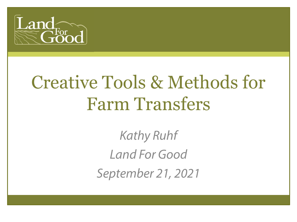

# Creative Tools & Methods for Farm Transfers

*Kathy Ruhf Land For Good September 21, 2021*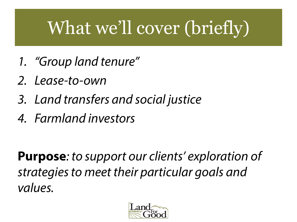# What we'll cover (briefly)

- *1. "Group land tenure"*
- *2. Lease-to-own*
- *3. Land transfers and social justice*
- *4. Farmland investors*

**Purpose***: to support our clients' exploration of strategies to meet their particular goals and values.* 

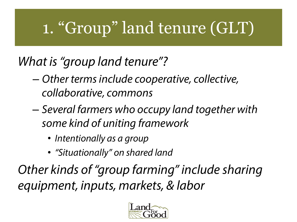### 1. "Group" land tenure (GLT)

### *What is "group land tenure"?*

- *Other terms include cooperative, collective, collaborative, commons*
- *Several farmers who occupy land together with some kind of uniting framework*
	- *Intentionally as a group*
	- *"Situationally" on shared land*

*Other kinds of "group farming" include sharing equipment, inputs, markets, & labor*

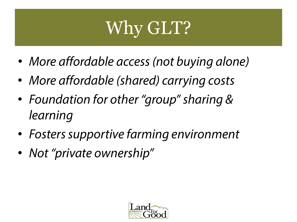### Why GLT?

- *More affordable access (not buying alone)*
- *More affordable (shared) carrying costs*
- *Foundation for other "group" sharing & learning*
- *Fosters supportive farming environment*
- *Not "private ownership"*

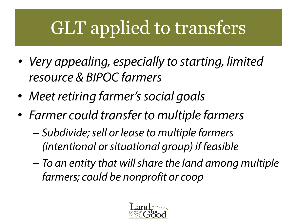### GLT applied to transfers

- *Very appealing, especially to starting, limited resource & BIPOC farmers*
- *Meet retiring farmer's social goals*
- *Farmer could transfer to multiple farmers*
	- *Subdivide; sell or lease to multiple farmers (intentional or situational group) if feasible*
	- *To an entity that will share the land among multiple farmers; could be nonprofit or coop*

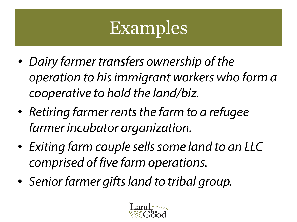### Examples

- *Dairy farmer transfers ownership of the operation to his immigrant workers who form a cooperative to hold the land/biz.*
- *Retiring farmer rents the farm to a refugee farmer incubator organization.*
- *Exiting farm couple sells some land to an LLC comprised of five farm operations.*
- *Senior farmer gifts land to tribal group.*

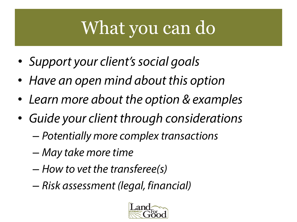# What you can do

- *Support your client's social goals*
- *Have an open mind about this option*
- *Learn more about the option & examples*
- *Guide your client through considerations*
	- *Potentially more complex transactions*
	- *May take more time*
	- *How to vet the transferee(s)*
	- *Risk assessment (legal, financial)*

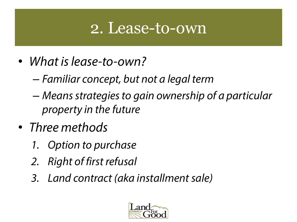### 2. Lease-to-own

- *What is lease-to-own?* 
	- *Familiar concept, but not a legal term*
	- *Means strategies to gain ownership of a particular property in the future*
- *Three methods* 
	- *1. Option to purchase*
	- *2. Right of first refusal*
	- *3. Land contract (aka installment sale)*

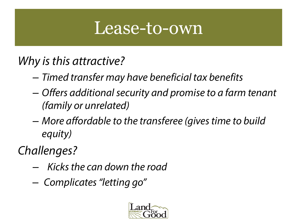### Lease-to-own

#### *Why is this attractive?*

- *Timed transfer may have beneficial tax benefits*
- *Offers additional security and promise to a farm tenant (family or unrelated)*
- *More affordable to the transferee (gives time to build equity)*

*Challenges?*

- *Kicks the can down the road*
- *Complicates "letting go"*

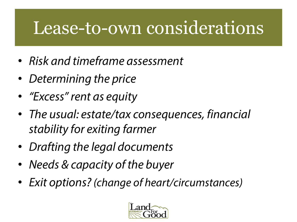### Lease-to-own considerations

- *Risk and timeframe assessment*
- *Determining the price*
- *"Excess" rent as equity*
- *The usual: estate/tax consequences, financial stability for exiting farmer*
- *Drafting the legal documents*
- *Needs & capacity of the buyer*
- *Exit options? (change of heart/circumstances)*

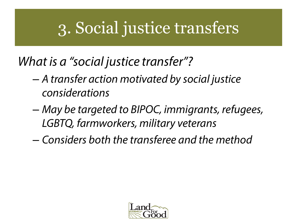### 3. Social justice transfers

#### *What is a "social justice transfer"?*

- *A transfer action motivated by social justice considerations*
- *May be targeted to BIPOC, immigrants, refugees, LGBTQ, farmworkers, military veterans*
- *Considers both the transferee and the method*

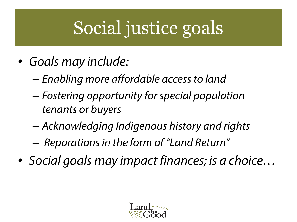# Social justice goals

- *Goals may include:*
	- *Enabling more affordable access to land*
	- *Fostering opportunity for special population tenants or buyers*
	- *Acknowledging Indigenous history and rights*
	- *Reparations in the form of "Land Return"*
- *Social goals may impact finances; is a choice…*

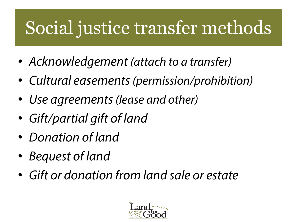### Social justice transfer methods

- *Acknowledgement (attach to a transfer)*
- *Cultural easements (permission/prohibition)*
- *Use agreements (lease and other)*
- *Gift/partial gift of land*
- *Donation of land*
- *Bequest of land*
- *Gift or donation from land sale or estate*

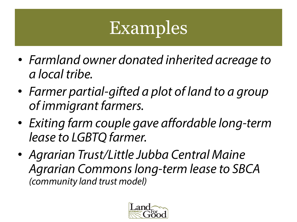# Examples

- *Farmland owner donated inherited acreage to a local tribe.*
- *Farmer partial-gifted a plot of land to a group of immigrant farmers.*
- *Exiting farm couple gave affordable long-term lease to LGBTQ farmer.*
- *Agrarian Trust/Little Jubba Central Maine Agrarian Commons long-term lease to SBCA (community land trust model)*

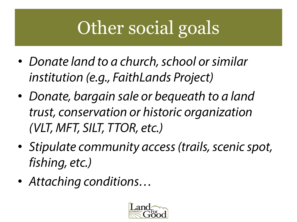# Other social goals

- *Donate land to a church, school or similar institution (e.g., FaithLands Project)*
- *Donate, bargain sale or bequeath to a land trust, conservation or historic organization (VLT, MFT, SILT, TTOR, etc.)*
- *Stipulate community access (trails, scenic spot, fishing, etc.)*
- *Attaching conditions…*

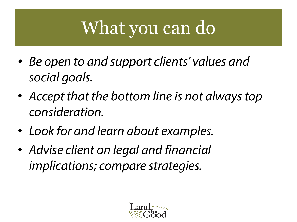# What you can do

- *Be open to and support clients' values and social goals.*
- *Accept that the bottom line is not always top consideration.*
- *Look for and learn about examples.*
- *Advise client on legal and financial implications; compare strategies.*

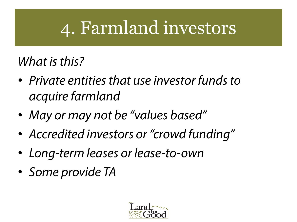### 4. Farmland investors

#### *What is this?*

- *Private entities that use investor funds to acquire farmland*
- *May or may not be "values based"*
- *Accredited investors or "crowd funding"*
- *Long-term leases or lease-to-own*
- *Some provide TA*

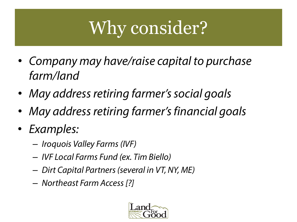### Why consider?

- *Company may have/raise capital to purchase farm/land*
- *May address retiring farmer's social goals*
- *May address retiring farmer's financial goals*
- *Examples:* 
	- *Iroquois Valley Farms (IVF)*
	- *IVF Local Farms Fund (ex. Tim Biello)*
	- *Dirt Capital Partners (several in VT, NY, ME)*
	- *Northeast Farm Access [?]*

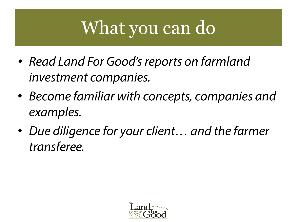# What you can do

- *Read Land For Good's reports on farmland investment companies.*
- *Become familiar with concepts, companies and examples.*
- *Due diligence for your client… and the farmer transferee.*